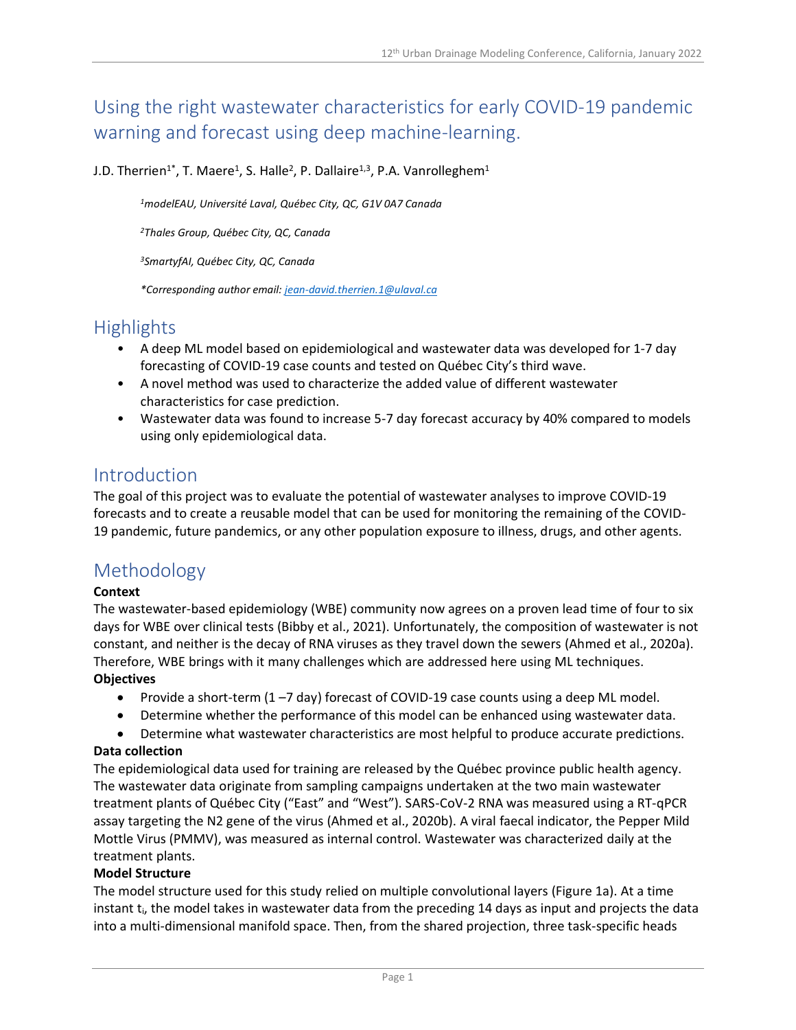# Using the right wastewater characteristics for early COVID-19 pandemic warning and forecast using deep machine-learning.

J.D. Therrien<sup>1\*</sup>, T. Maere<sup>1</sup>, S. Halle<sup>2</sup>, P. Dallaire<sup>1,3</sup>, P.A. Vanrolleghem<sup>1</sup>

*<sup>1</sup>modelEAU, Université Laval, Québec City, QC, G1V 0A7 Canada*

*<sup>2</sup>Thales Group, Québec City, QC, Canada*

*<sup>3</sup>SmartyfAI, Québec City, QC, Canada*

*\*Corresponding author email: [jean-david.therrien.1@ulaval.ca](mailto:jean-david.therrien.1@ulaval.ca)*

## Highlights

- A deep ML model based on epidemiological and wastewater data was developed for 1-7 day forecasting of COVID-19 case counts and tested on Québec City's third wave.
- A novel method was used to characterize the added value of different wastewater characteristics for case prediction.
- Wastewater data was found to increase 5-7 day forecast accuracy by 40% compared to models using only epidemiological data.

### Introduction

The goal of this project was to evaluate the potential of wastewater analyses to improve COVID-19 forecasts and to create a reusable model that can be used for monitoring the remaining of the COVID-19 pandemic, future pandemics, or any other population exposure to illness, drugs, and other agents.

# Methodology

#### **Context**

The wastewater-based epidemiology (WBE) community now agrees on a proven lead time of four to six days for WBE over clinical tests (Bibby et al., 2021). Unfortunately, the composition of wastewater is not constant, and neither is the decay of RNA viruses as they travel down the sewers (Ahmed et al., 2020a). Therefore, WBE brings with it many challenges which are addressed here using ML techniques. **Objectives**

- Provide a short-term  $(1 7 \text{ day})$  forecast of COVID-19 case counts using a deep ML model.
- Determine whether the performance of this model can be enhanced using wastewater data.
- Determine what wastewater characteristics are most helpful to produce accurate predictions.

#### **Data collection**

The epidemiological data used for training are released by the Québec province public health agency. The wastewater data originate from sampling campaigns undertaken at the two main wastewater treatment plants of Québec City ("East" and "West"). SARS-CoV-2 RNA was measured using a RT-qPCR assay targeting the N2 gene of the virus (Ahmed et al., 2020b). A viral faecal indicator, the Pepper Mild Mottle Virus (PMMV), was measured as internal control. Wastewater was characterized daily at the treatment plants.

#### **Model Structure**

The model structure used for this study relied on multiple convolutional layers (Figure 1a). At a time instant  $t_i$ , the model takes in wastewater data from the preceding 14 days as input and projects the data into a multi-dimensional manifold space. Then, from the shared projection, three task-specific heads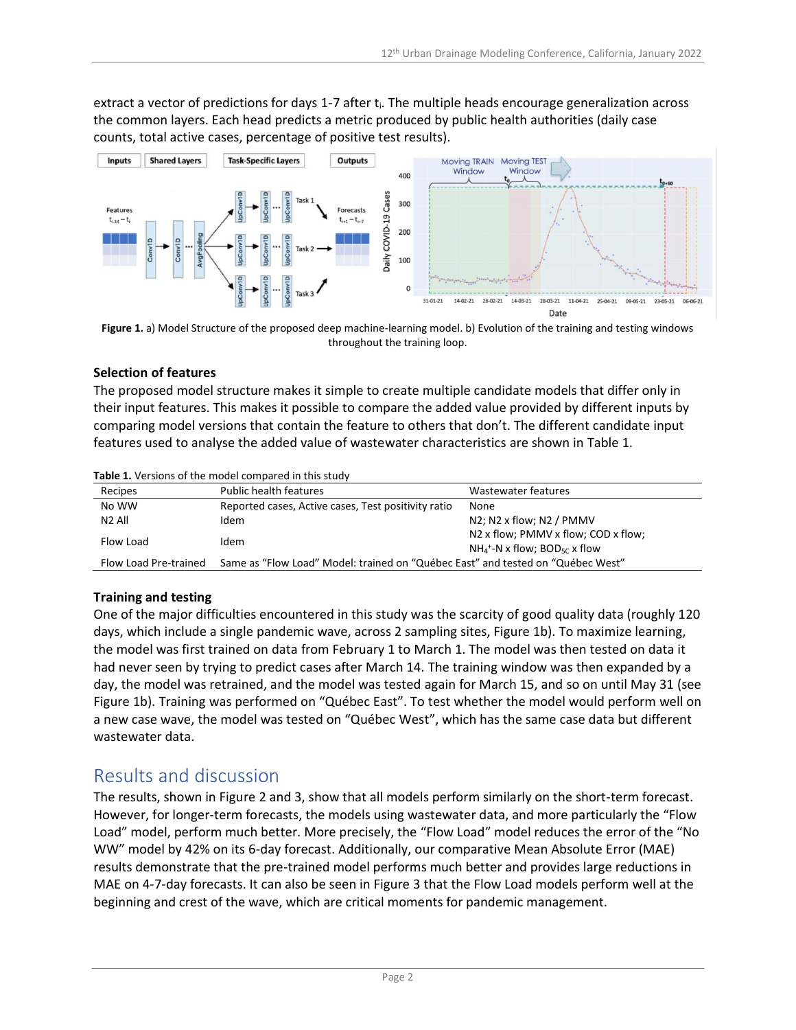extract a vector of predictions for days 1-7 after t<sub>i</sub>. The multiple heads encourage generalization across the common layers. Each head predicts a metric produced by public health authorities (daily case counts, total active cases, percentage of positive test results).



**Figure 1.** a) Model Structure of the proposed deep machine-learning model. b) Evolution of the training and testing windows throughout the training loop.

#### **Selection of features**

The proposed model structure makes it simple to create multiple candidate models that differ only in their input features. This makes it possible to compare the added value provided by different inputs by comparing model versions that contain the feature to others that don't. The different candidate input features used to analyse the added value of wastewater characteristics are shown in Table 1.

| Recipes               | <b>Public health features</b>                                                   | Wastewater features                                                                            |
|-----------------------|---------------------------------------------------------------------------------|------------------------------------------------------------------------------------------------|
| No WW                 | Reported cases, Active cases, Test positivity ratio                             | None                                                                                           |
| N <sub>2</sub> All    | Idem                                                                            | $N2$ ; N2 x flow; N2 / PMMV                                                                    |
| Flow Load             | Idem                                                                            | N2 x flow; PMMV x flow; COD x flow;<br>$NH_4$ <sup>+</sup> -N x flow; BOD <sub>5C</sub> x flow |
| Flow Load Pre-trained | Same as "Flow Load" Model: trained on "Québec East" and tested on "Québec West" |                                                                                                |

**Table 1.** Versions of the model compared in this study

#### **Training and testing**

One of the major difficulties encountered in this study was the scarcity of good quality data (roughly 120 days, which include a single pandemic wave, across 2 sampling sites, Figure 1b). To maximize learning, the model was first trained on data from February 1 to March 1. The model was then tested on data it had never seen by trying to predict cases after March 14. The training window was then expanded by a day, the model was retrained, and the model was tested again for March 15, and so on until May 31 (see Figure 1b). Training was performed on "Québec East". To test whether the model would perform well on a new case wave, the model was tested on "Québec West", which has the same case data but different wastewater data.

### Results and discussion

The results, shown in Figure 2 and 3, show that all models perform similarly on the short-term forecast. However, for longer-term forecasts, the models using wastewater data, and more particularly the "Flow Load" model, perform much better. More precisely, the "Flow Load" model reduces the error of the "No WW" model by 42% on its 6-day forecast. Additionally, our comparative Mean Absolute Error (MAE) results demonstrate that the pre-trained model performs much better and provides large reductions in MAE on 4-7-day forecasts. It can also be seen in Figure 3 that the Flow Load models perform well at the beginning and crest of the wave, which are critical moments for pandemic management.